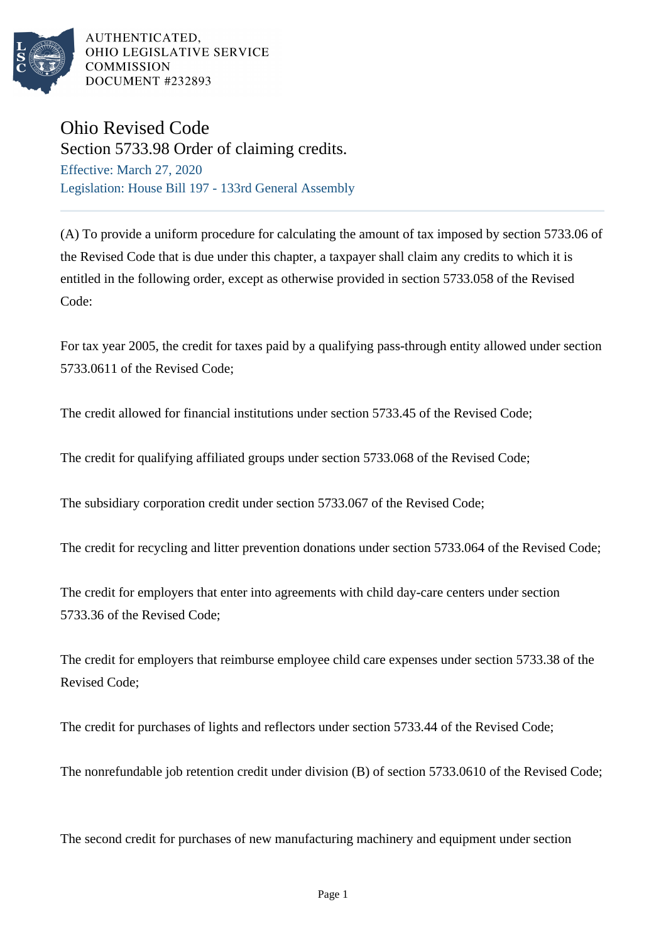

AUTHENTICATED, OHIO LEGISLATIVE SERVICE **COMMISSION** DOCUMENT #232893

## Ohio Revised Code

Section 5733.98 Order of claiming credits. Effective: March 27, 2020 Legislation: House Bill 197 - 133rd General Assembly

(A) To provide a uniform procedure for calculating the amount of tax imposed by section 5733.06 of the Revised Code that is due under this chapter, a taxpayer shall claim any credits to which it is entitled in the following order, except as otherwise provided in section 5733.058 of the Revised Code:

For tax year 2005, the credit for taxes paid by a qualifying pass-through entity allowed under section 5733.0611 of the Revised Code;

The credit allowed for financial institutions under section 5733.45 of the Revised Code;

The credit for qualifying affiliated groups under section 5733.068 of the Revised Code;

The subsidiary corporation credit under section 5733.067 of the Revised Code;

The credit for recycling and litter prevention donations under section 5733.064 of the Revised Code;

The credit for employers that enter into agreements with child day-care centers under section 5733.36 of the Revised Code;

The credit for employers that reimburse employee child care expenses under section 5733.38 of the Revised Code;

The credit for purchases of lights and reflectors under section 5733.44 of the Revised Code;

The nonrefundable job retention credit under division (B) of section 5733.0610 of the Revised Code;

The second credit for purchases of new manufacturing machinery and equipment under section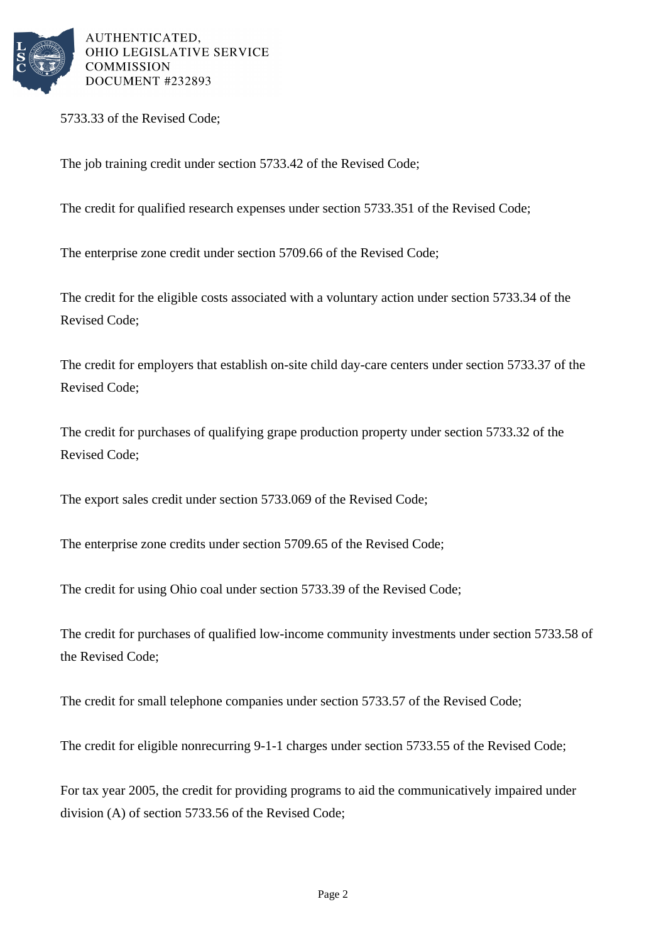

AUTHENTICATED, OHIO LEGISLATIVE SERVICE **COMMISSION** DOCUMENT #232893

5733.33 of the Revised Code;

The job training credit under section 5733.42 of the Revised Code;

The credit for qualified research expenses under section 5733.351 of the Revised Code;

The enterprise zone credit under section 5709.66 of the Revised Code;

The credit for the eligible costs associated with a voluntary action under section 5733.34 of the Revised Code;

The credit for employers that establish on-site child day-care centers under section 5733.37 of the Revised Code;

The credit for purchases of qualifying grape production property under section 5733.32 of the Revised Code;

The export sales credit under section 5733.069 of the Revised Code;

The enterprise zone credits under section 5709.65 of the Revised Code;

The credit for using Ohio coal under section 5733.39 of the Revised Code;

The credit for purchases of qualified low-income community investments under section 5733.58 of the Revised Code;

The credit for small telephone companies under section 5733.57 of the Revised Code;

The credit for eligible nonrecurring 9-1-1 charges under section 5733.55 of the Revised Code;

For tax year 2005, the credit for providing programs to aid the communicatively impaired under division (A) of section 5733.56 of the Revised Code;